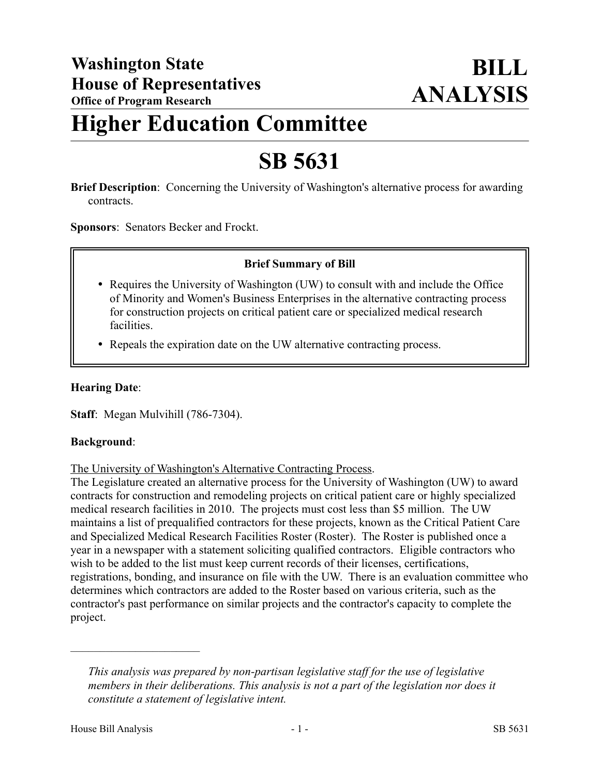## **Higher Education Committee**

# **SB 5631**

**Brief Description**: Concerning the University of Washington's alternative process for awarding contracts.

**Sponsors**: Senators Becker and Frockt.

## **Brief Summary of Bill**

- Requires the University of Washington (UW) to consult with and include the Office of Minority and Women's Business Enterprises in the alternative contracting process for construction projects on critical patient care or specialized medical research facilities.
- Repeals the expiration date on the UW alternative contracting process.

#### **Hearing Date**:

**Staff**: Megan Mulvihill (786-7304).

#### **Background**:

The University of Washington's Alternative Contracting Process.

The Legislature created an alternative process for the University of Washington (UW) to award contracts for construction and remodeling projects on critical patient care or highly specialized medical research facilities in 2010. The projects must cost less than \$5 million. The UW maintains a list of prequalified contractors for these projects, known as the Critical Patient Care and Specialized Medical Research Facilities Roster (Roster). The Roster is published once a year in a newspaper with a statement soliciting qualified contractors. Eligible contractors who wish to be added to the list must keep current records of their licenses, certifications, registrations, bonding, and insurance on file with the UW. There is an evaluation committee who determines which contractors are added to the Roster based on various criteria, such as the contractor's past performance on similar projects and the contractor's capacity to complete the project.

––––––––––––––––––––––

*This analysis was prepared by non-partisan legislative staff for the use of legislative members in their deliberations. This analysis is not a part of the legislation nor does it constitute a statement of legislative intent.*